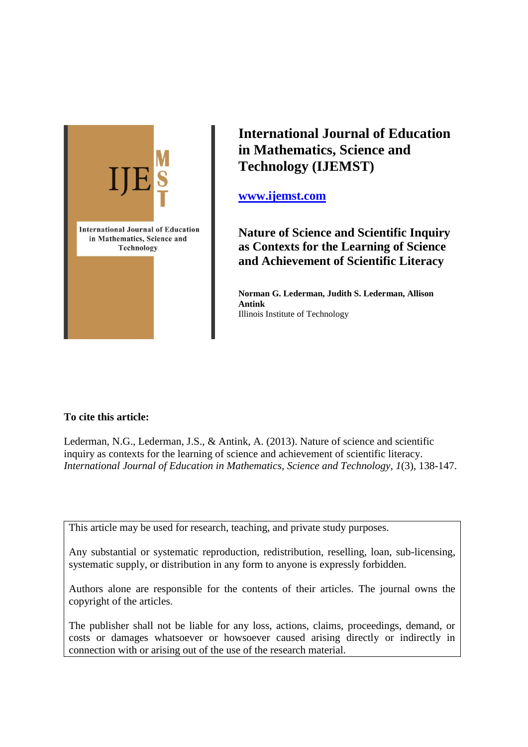

**International Journal of Education in Mathematics, Science and Technology (IJEMST)**

**[www.ijemst.com](http://www.ijemst.com/)**

**Nature of Science and Scientific Inquiry as Contexts for the Learning of Science and Achievement of Scientific Literacy**

**Norman G. Lederman, Judith S. Lederman, Allison Antink** Illinois Institute of Technology

## **To cite this article:**

Lederman, N.G., Lederman, J.S., & Antink, A. (2013). Nature of science and scientific inquiry as contexts for the learning of science and achievement of scientific literacy. *International Journal of Education in Mathematics, Science and Technology, 1*(3), 138-147.

This article may be used for research, teaching, and private study purposes.

Any substantial or systematic reproduction, redistribution, reselling, loan, sub-licensing, systematic supply, or distribution in any form to anyone is expressly forbidden.

Authors alone are responsible for the contents of their articles. The journal owns the copyright of the articles.

The publisher shall not be liable for any loss, actions, claims, proceedings, demand, or costs or damages whatsoever or howsoever caused arising directly or indirectly in connection with or arising out of the use of the research material.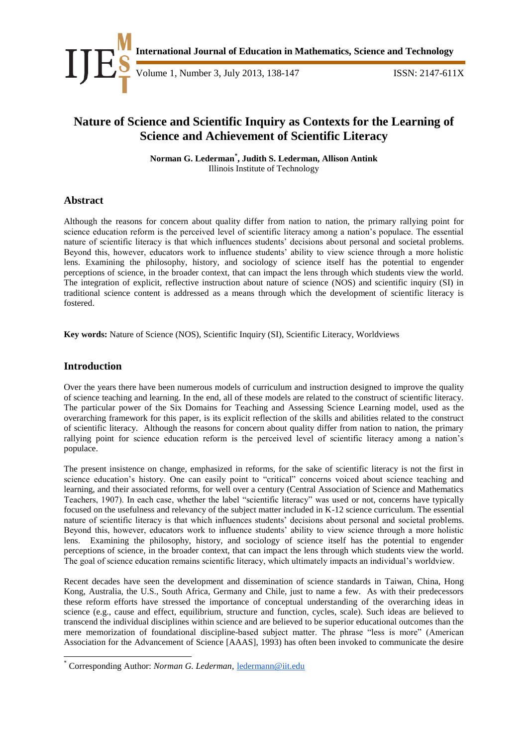

**International Journal of Education in Mathematics, Science and Technology**

Volume 1, Number 3, July 2013, 138-147 **ISSN: 2147-611X** 

# **Nature of Science and Scientific Inquiry as Contexts for the Learning of Science and Achievement of Scientific Literacy**

**Norman G. Lederman\* , Judith S. Lederman, Allison Antink** Illinois Institute of Technology

### **Abstract**

Although the reasons for concern about quality differ from nation to nation, the primary rallying point for science education reform is the perceived level of scientific literacy among a nation's populace. The essential nature of scientific literacy is that which influences students' decisions about personal and societal problems. Beyond this, however, educators work to influence students' ability to view science through a more holistic lens. Examining the philosophy, history, and sociology of science itself has the potential to engender perceptions of science, in the broader context, that can impact the lens through which students view the world. The integration of explicit, reflective instruction about nature of science (NOS) and scientific inquiry (SI) in traditional science content is addressed as a means through which the development of scientific literacy is fostered.

**Key words:** Nature of Science (NOS), Scientific Inquiry (SI), Scientific Literacy, Worldviews

### **Introduction**

1

Over the years there have been numerous models of curriculum and instruction designed to improve the quality of science teaching and learning. In the end, all of these models are related to the construct of scientific literacy. The particular power of the Six Domains for Teaching and Assessing Science Learning model, used as the overarching framework for this paper, is its explicit reflection of the skills and abilities related to the construct of scientific literacy. Although the reasons for concern about quality differ from nation to nation, the primary rallying point for science education reform is the perceived level of scientific literacy among a nation's populace.

The present insistence on change, emphasized in reforms, for the sake of scientific literacy is not the first in science education's history. One can easily point to "critical" concerns voiced about science teaching and learning, and their associated reforms, for well over a century (Central Association of Science and Mathematics Teachers, 1907). In each case, whether the label "scientific literacy" was used or not, concerns have typically focused on the usefulness and relevancy of the subject matter included in K-12 science curriculum. The essential nature of scientific literacy is that which influences students' decisions about personal and societal problems. Beyond this, however, educators work to influence students' ability to view science through a more holistic lens. Examining the philosophy, history, and sociology of science itself has the potential to engender perceptions of science, in the broader context, that can impact the lens through which students view the world. The goal of science education remains scientific literacy, which ultimately impacts an individual's worldview.

Recent decades have seen the development and dissemination of science standards in Taiwan, China, Hong Kong, Australia, the U.S., South Africa, Germany and Chile, just to name a few. As with their predecessors these reform efforts have stressed the importance of conceptual understanding of the overarching ideas in science (e.g., cause and effect, equilibrium, structure and function, cycles, scale). Such ideas are believed to transcend the individual disciplines within science and are believed to be superior educational outcomes than the mere memorization of foundational discipline-based subject matter. The phrase "less is more" (American Association for the Advancement of Science [AAAS], 1993) has often been invoked to communicate the desire

<sup>\*</sup> Corresponding Author: *Norman G. Lederman,* [ledermann@iit.edu](mailto:ledermann@iit.edu)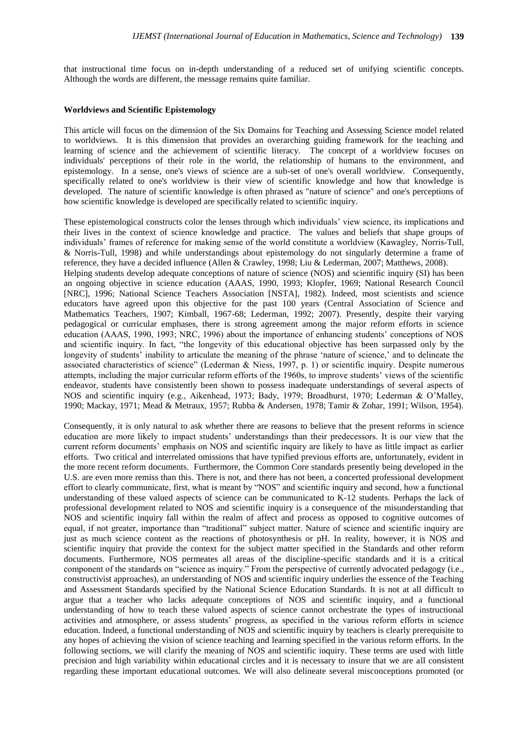that instructional time focus on in-depth understanding of a reduced set of unifying scientific concepts. Although the words are different, the message remains quite familiar.

#### **Worldviews and Scientific Epistemology**

This article will focus on the dimension of the Six Domains for Teaching and Assessing Science model related to worldviews. It is this dimension that provides an overarching guiding framework for the teaching and learning of science and the achievement of scientific literacy. The concept of a worldview focuses on individuals' perceptions of their role in the world, the relationship of humans to the environment, and epistemology. In a sense, one's views of science are a sub-set of one's overall worldview. Consequently, specifically related to one's worldview is their view of scientific knowledge and how that knowledge is developed. The nature of scientific knowledge is often phrased as "nature of science" and one's perceptions of how scientific knowledge is developed are specifically related to scientific inquiry.

These epistemological constructs color the lenses through which individuals' view science, its implications and their lives in the context of science knowledge and practice. The values and beliefs that shape groups of individuals' frames of reference for making sense of the world constitute a worldview (Kawagley, Norris-Tull, & Norris-Tull, 1998) and while understandings about epistemology do not singularly determine a frame of reference, they have a decided influence (Allen & Crawley, 1998; Liu & Lederman, 2007; Matthews, 2008). Helping students develop adequate conceptions of nature of science (NOS) and scientific inquiry (SI) has been an ongoing objective in science education (AAAS, 1990, 1993; Klopfer, 1969; National Research Council [NRC], 1996; National Science Teachers Association [NSTA], 1982). Indeed, most scientists and science educators have agreed upon this objective for the past 100 years (Central Association of Science and Mathematics Teachers, 1907; Kimball, 1967-68; Lederman, 1992; 2007). Presently, despite their varying pedagogical or curricular emphases, there is strong agreement among the major reform efforts in science education (AAAS, 1990, 1993; NRC, 1996) about the importance of enhancing students' conceptions of NOS and scientific inquiry. In fact, "the longevity of this educational objective has been surpassed only by the longevity of students' inability to articulate the meaning of the phrase 'nature of science,' and to delineate the associated characteristics of science" (Lederman & Niess, 1997, p. 1) or scientific inquiry. Despite numerous attempts, including the major curricular reform efforts of the 1960s, to improve students' views of the scientific endeavor, students have consistently been shown to possess inadequate understandings of several aspects of NOS and scientific inquiry (e.g., Aikenhead, 1973; Bady, 1979; Broadhurst, 1970; Lederman & O'Malley, 1990; Mackay, 1971; Mead & Metraux, 1957; Rubba & Andersen, 1978; Tamir & Zohar, 1991; Wilson, 1954).

Consequently, it is only natural to ask whether there are reasons to believe that the present reforms in science education are more likely to impact students' understandings than their predecessors. It is our view that the current reform documents' emphasis on NOS and scientific inquiry are likely to have as little impact as earlier efforts. Two critical and interrelated omissions that have typified previous efforts are, unfortunately, evident in the more recent reform documents. Furthermore, the Common Core standards presently being developed in the U.S. are even more remiss than this. There is not, and there has not been, a concerted professional development effort to clearly communicate, first, what is meant by "NOS" and scientific inquiry and second, how a functional understanding of these valued aspects of science can be communicated to K-12 students. Perhaps the lack of professional development related to NOS and scientific inquiry is a consequence of the misunderstanding that NOS and scientific inquiry fall within the realm of affect and process as opposed to cognitive outcomes of equal, if not greater, importance than "traditional" subject matter. Nature of science and scientific inquiry are just as much science content as the reactions of photosynthesis or pH. In reality, however, it is NOS and scientific inquiry that provide the context for the subject matter specified in the Standards and other reform documents. Furthermore, NOS permeates all areas of the discipline-specific standards and it is a critical component of the standards on "science as inquiry." From the perspective of currently advocated pedagogy (i.e., constructivist approaches), an understanding of NOS and scientific inquiry underlies the essence of the Teaching and Assessment Standards specified by the National Science Education Standards. It is not at all difficult to argue that a teacher who lacks adequate conceptions of NOS and scientific inquiry, and a functional understanding of how to teach these valued aspects of science cannot orchestrate the types of instructional activities and atmosphere, or assess students' progress, as specified in the various reform efforts in science education. Indeed, a functional understanding of NOS and scientific inquiry by teachers is clearly prerequisite to any hopes of achieving the vision of science teaching and learning specified in the various reform efforts. In the following sections, we will clarify the meaning of NOS and scientific inquiry. These terms are used with little precision and high variability within educational circles and it is necessary to insure that we are all consistent regarding these important educational outcomes. We will also delineate several misconceptions promoted (or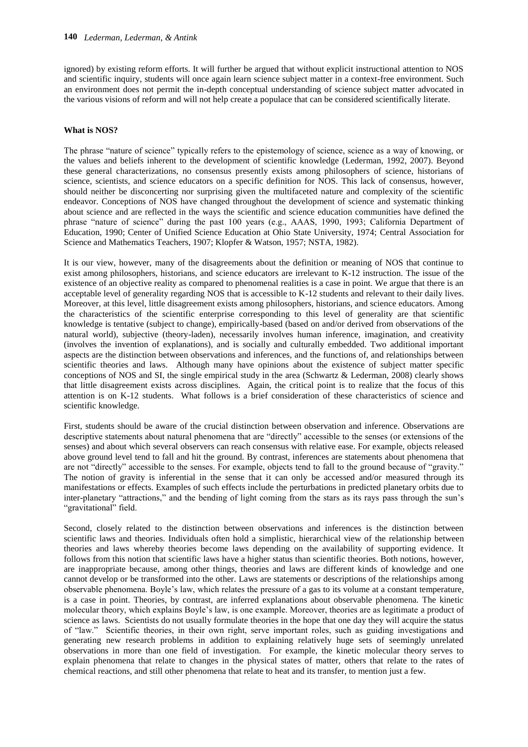ignored) by existing reform efforts. It will further be argued that without explicit instructional attention to NOS and scientific inquiry, students will once again learn science subject matter in a context-free environment. Such an environment does not permit the in-depth conceptual understanding of science subject matter advocated in the various visions of reform and will not help create a populace that can be considered scientifically literate.

#### **What is NOS?**

The phrase "nature of science" typically refers to the epistemology of science, science as a way of knowing, or the values and beliefs inherent to the development of scientific knowledge (Lederman, 1992, 2007). Beyond these general characterizations, no consensus presently exists among philosophers of science, historians of science, scientists, and science educators on a specific definition for NOS. This lack of consensus, however, should neither be disconcerting nor surprising given the multifaceted nature and complexity of the scientific endeavor. Conceptions of NOS have changed throughout the development of science and systematic thinking about science and are reflected in the ways the scientific and science education communities have defined the phrase "nature of science" during the past 100 years (e.g., AAAS, 1990, 1993; California Department of Education, 1990; Center of Unified Science Education at Ohio State University, 1974; Central Association for Science and Mathematics Teachers, 1907; Klopfer & Watson, 1957; NSTA, 1982).

It is our view, however, many of the disagreements about the definition or meaning of NOS that continue to exist among philosophers, historians, and science educators are irrelevant to K-12 instruction. The issue of the existence of an objective reality as compared to phenomenal realities is a case in point. We argue that there is an acceptable level of generality regarding NOS that is accessible to K-12 students and relevant to their daily lives. Moreover, at this level, little disagreement exists among philosophers, historians, and science educators. Among the characteristics of the scientific enterprise corresponding to this level of generality are that scientific knowledge is tentative (subject to change), empirically-based (based on and/or derived from observations of the natural world), subjective (theory-laden), necessarily involves human inference, imagination, and creativity (involves the invention of explanations), and is socially and culturally embedded. Two additional important aspects are the distinction between observations and inferences, and the functions of, and relationships between scientific theories and laws. Although many have opinions about the existence of subject matter specific conceptions of NOS and SI, the single empirical study in the area (Schwartz & Lederman, 2008) clearly shows that little disagreement exists across disciplines. Again, the critical point is to realize that the focus of this attention is on K-12 students. What follows is a brief consideration of these characteristics of science and scientific knowledge.

First, students should be aware of the crucial distinction between observation and inference. Observations are descriptive statements about natural phenomena that are "directly" accessible to the senses (or extensions of the senses) and about which several observers can reach consensus with relative ease. For example, objects released above ground level tend to fall and hit the ground. By contrast, inferences are statements about phenomena that are not "directly" accessible to the senses. For example, objects tend to fall to the ground because of "gravity." The notion of gravity is inferential in the sense that it can only be accessed and/or measured through its manifestations or effects. Examples of such effects include the perturbations in predicted planetary orbits due to inter-planetary "attractions," and the bending of light coming from the stars as its rays pass through the sun's "gravitational" field.

Second, closely related to the distinction between observations and inferences is the distinction between scientific laws and theories. Individuals often hold a simplistic, hierarchical view of the relationship between theories and laws whereby theories become laws depending on the availability of supporting evidence. It follows from this notion that scientific laws have a higher status than scientific theories. Both notions, however, are inappropriate because, among other things, theories and laws are different kinds of knowledge and one cannot develop or be transformed into the other. Laws are statements or descriptions of the relationships among observable phenomena. Boyle's law, which relates the pressure of a gas to its volume at a constant temperature, is a case in point. Theories, by contrast, are inferred explanations about observable phenomena. The kinetic molecular theory, which explains Boyle's law, is one example. Moreover, theories are as legitimate a product of science as laws. Scientists do not usually formulate theories in the hope that one day they will acquire the status of "law." Scientific theories, in their own right, serve important roles, such as guiding investigations and generating new research problems in addition to explaining relatively huge sets of seemingly unrelated observations in more than one field of investigation. For example, the kinetic molecular theory serves to explain phenomena that relate to changes in the physical states of matter, others that relate to the rates of chemical reactions, and still other phenomena that relate to heat and its transfer, to mention just a few.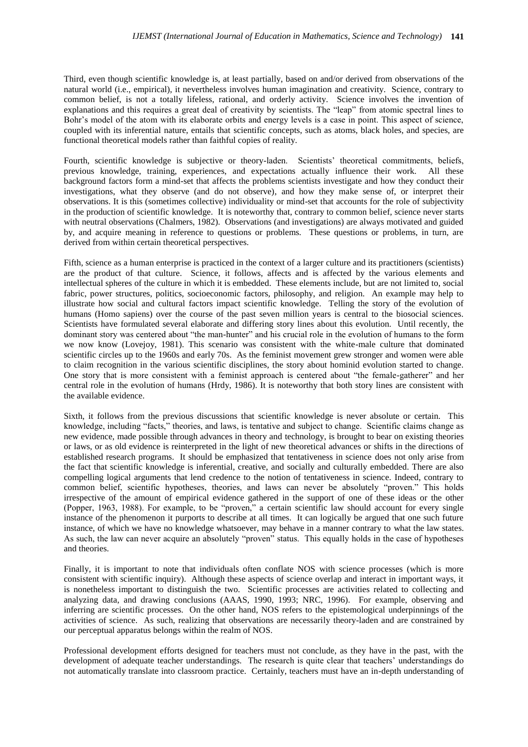Third, even though scientific knowledge is, at least partially, based on and/or derived from observations of the natural world (i.e., empirical), it nevertheless involves human imagination and creativity. Science, contrary to common belief, is not a totally lifeless, rational, and orderly activity. Science involves the invention of explanations and this requires a great deal of creativity by scientists. The "leap" from atomic spectral lines to Bohr's model of the atom with its elaborate orbits and energy levels is a case in point. This aspect of science, coupled with its inferential nature, entails that scientific concepts, such as atoms, black holes, and species, are functional theoretical models rather than faithful copies of reality.

Fourth, scientific knowledge is subjective or theory-laden. Scientists' theoretical commitments, beliefs, previous knowledge, training, experiences, and expectations actually influence their work. All these background factors form a mind-set that affects the problems scientists investigate and how they conduct their investigations, what they observe (and do not observe), and how they make sense of, or interpret their observations. It is this (sometimes collective) individuality or mind-set that accounts for the role of subjectivity in the production of scientific knowledge. It is noteworthy that, contrary to common belief, science never starts with neutral observations (Chalmers, 1982). Observations (and investigations) are always motivated and guided by, and acquire meaning in reference to questions or problems. These questions or problems, in turn, are derived from within certain theoretical perspectives.

Fifth, science as a human enterprise is practiced in the context of a larger culture and its practitioners (scientists) are the product of that culture. Science, it follows, affects and is affected by the various elements and intellectual spheres of the culture in which it is embedded. These elements include, but are not limited to, social fabric, power structures, politics, socioeconomic factors, philosophy, and religion. An example may help to illustrate how social and cultural factors impact scientific knowledge. Telling the story of the evolution of humans (Homo sapiens) over the course of the past seven million years is central to the biosocial sciences. Scientists have formulated several elaborate and differing story lines about this evolution. Until recently, the dominant story was centered about "the man-hunter" and his crucial role in the evolution of humans to the form we now know (Lovejoy, 1981). This scenario was consistent with the white-male culture that dominated scientific circles up to the 1960s and early 70s. As the feminist movement grew stronger and women were able to claim recognition in the various scientific disciplines, the story about hominid evolution started to change. One story that is more consistent with a feminist approach is centered about "the female-gatherer" and her central role in the evolution of humans (Hrdy, 1986). It is noteworthy that both story lines are consistent with the available evidence.

Sixth, it follows from the previous discussions that scientific knowledge is never absolute or certain. This knowledge, including "facts," theories, and laws, is tentative and subject to change. Scientific claims change as new evidence, made possible through advances in theory and technology, is brought to bear on existing theories or laws, or as old evidence is reinterpreted in the light of new theoretical advances or shifts in the directions of established research programs. It should be emphasized that tentativeness in science does not only arise from the fact that scientific knowledge is inferential, creative, and socially and culturally embedded. There are also compelling logical arguments that lend credence to the notion of tentativeness in science. Indeed, contrary to common belief, scientific hypotheses, theories, and laws can never be absolutely "proven." This holds irrespective of the amount of empirical evidence gathered in the support of one of these ideas or the other (Popper, 1963, 1988). For example, to be "proven," a certain scientific law should account for every single instance of the phenomenon it purports to describe at all times. It can logically be argued that one such future instance, of which we have no knowledge whatsoever, may behave in a manner contrary to what the law states. As such, the law can never acquire an absolutely "proven" status. This equally holds in the case of hypotheses and theories.

Finally, it is important to note that individuals often conflate NOS with science processes (which is more consistent with scientific inquiry). Although these aspects of science overlap and interact in important ways, it is nonetheless important to distinguish the two. Scientific processes are activities related to collecting and analyzing data, and drawing conclusions (AAAS, 1990, 1993; NRC, 1996). For example, observing and inferring are scientific processes. On the other hand, NOS refers to the epistemological underpinnings of the activities of science. As such, realizing that observations are necessarily theory-laden and are constrained by our perceptual apparatus belongs within the realm of NOS.

Professional development efforts designed for teachers must not conclude, as they have in the past, with the development of adequate teacher understandings. The research is quite clear that teachers' understandings do not automatically translate into classroom practice. Certainly, teachers must have an in-depth understanding of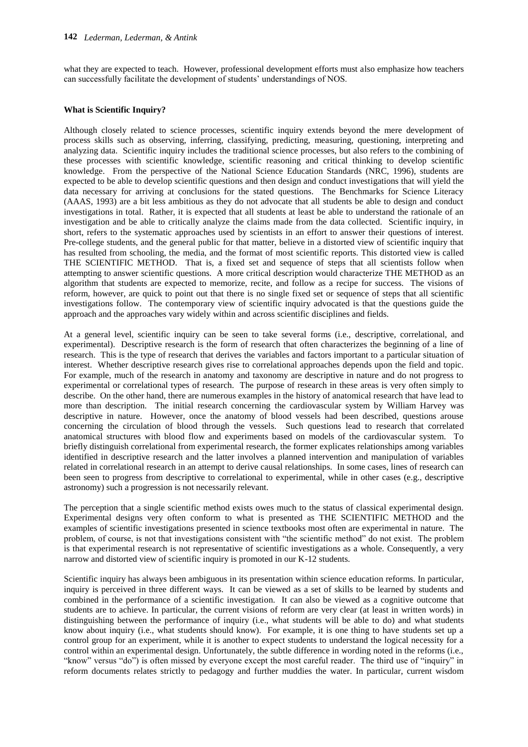what they are expected to teach. However, professional development efforts must also emphasize how teachers can successfully facilitate the development of students' understandings of NOS.

#### **What is Scientific Inquiry?**

Although closely related to science processes, scientific inquiry extends beyond the mere development of process skills such as observing, inferring, classifying, predicting, measuring, questioning, interpreting and analyzing data. Scientific inquiry includes the traditional science processes, but also refers to the combining of these processes with scientific knowledge, scientific reasoning and critical thinking to develop scientific knowledge. From the perspective of the National Science Education Standards (NRC, 1996), students are expected to be able to develop scientific questions and then design and conduct investigations that will yield the data necessary for arriving at conclusions for the stated questions. The Benchmarks for Science Literacy (AAAS, 1993) are a bit less ambitious as they do not advocate that all students be able to design and conduct investigations in total. Rather, it is expected that all students at least be able to understand the rationale of an investigation and be able to critically analyze the claims made from the data collected. Scientific inquiry, in short, refers to the systematic approaches used by scientists in an effort to answer their questions of interest. Pre-college students, and the general public for that matter, believe in a distorted view of scientific inquiry that has resulted from schooling, the media, and the format of most scientific reports. This distorted view is called THE SCIENTIFIC METHOD. That is, a fixed set and sequence of steps that all scientists follow when attempting to answer scientific questions. A more critical description would characterize THE METHOD as an algorithm that students are expected to memorize, recite, and follow as a recipe for success. The visions of reform, however, are quick to point out that there is no single fixed set or sequence of steps that all scientific investigations follow. The contemporary view of scientific inquiry advocated is that the questions guide the approach and the approaches vary widely within and across scientific disciplines and fields.

At a general level, scientific inquiry can be seen to take several forms (i.e., descriptive, correlational, and experimental). Descriptive research is the form of research that often characterizes the beginning of a line of research. This is the type of research that derives the variables and factors important to a particular situation of interest. Whether descriptive research gives rise to correlational approaches depends upon the field and topic. For example, much of the research in anatomy and taxonomy are descriptive in nature and do not progress to experimental or correlational types of research. The purpose of research in these areas is very often simply to describe. On the other hand, there are numerous examples in the history of anatomical research that have lead to more than description. The initial research concerning the cardiovascular system by William Harvey was descriptive in nature. However, once the anatomy of blood vessels had been described, questions arouse concerning the circulation of blood through the vessels. Such questions lead to research that correlated anatomical structures with blood flow and experiments based on models of the cardiovascular system. To briefly distinguish correlational from experimental research, the former explicates relationships among variables identified in descriptive research and the latter involves a planned intervention and manipulation of variables related in correlational research in an attempt to derive causal relationships. In some cases, lines of research can been seen to progress from descriptive to correlational to experimental, while in other cases (e.g., descriptive astronomy) such a progression is not necessarily relevant.

The perception that a single scientific method exists owes much to the status of classical experimental design. Experimental designs very often conform to what is presented as THE SCIENTIFIC METHOD and the examples of scientific investigations presented in science textbooks most often are experimental in nature. The problem, of course, is not that investigations consistent with "the scientific method" do not exist. The problem is that experimental research is not representative of scientific investigations as a whole. Consequently, a very narrow and distorted view of scientific inquiry is promoted in our K-12 students.

Scientific inquiry has always been ambiguous in its presentation within science education reforms. In particular, inquiry is perceived in three different ways. It can be viewed as a set of skills to be learned by students and combined in the performance of a scientific investigation. It can also be viewed as a cognitive outcome that students are to achieve. In particular, the current visions of reform are very clear (at least in written words) in distinguishing between the performance of inquiry (i.e., what students will be able to do) and what students know about inquiry (i.e., what students should know). For example, it is one thing to have students set up a control group for an experiment, while it is another to expect students to understand the logical necessity for a control within an experimental design. Unfortunately, the subtle difference in wording noted in the reforms (i.e., "know" versus "do") is often missed by everyone except the most careful reader. The third use of "inquiry" in reform documents relates strictly to pedagogy and further muddies the water. In particular, current wisdom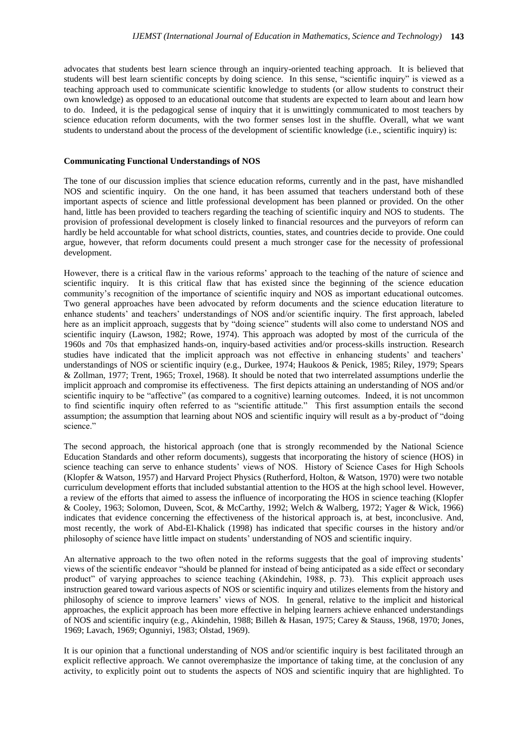advocates that students best learn science through an inquiry-oriented teaching approach. It is believed that students will best learn scientific concepts by doing science. In this sense, "scientific inquiry" is viewed as a teaching approach used to communicate scientific knowledge to students (or allow students to construct their own knowledge) as opposed to an educational outcome that students are expected to learn about and learn how to do. Indeed, it is the pedagogical sense of inquiry that it is unwittingly communicated to most teachers by science education reform documents, with the two former senses lost in the shuffle. Overall, what we want students to understand about the process of the development of scientific knowledge (i.e., scientific inquiry) is:

#### **Communicating Functional Understandings of NOS**

The tone of our discussion implies that science education reforms, currently and in the past, have mishandled NOS and scientific inquiry. On the one hand, it has been assumed that teachers understand both of these important aspects of science and little professional development has been planned or provided. On the other hand, little has been provided to teachers regarding the teaching of scientific inquiry and NOS to students. The provision of professional development is closely linked to financial resources and the purveyors of reform can hardly be held accountable for what school districts, counties, states, and countries decide to provide. One could argue, however, that reform documents could present a much stronger case for the necessity of professional development.

However, there is a critical flaw in the various reforms' approach to the teaching of the nature of science and scientific inquiry. It is this critical flaw that has existed since the beginning of the science education community's recognition of the importance of scientific inquiry and NOS as important educational outcomes. Two general approaches have been advocated by reform documents and the science education literature to enhance students' and teachers' understandings of NOS and/or scientific inquiry. The first approach, labeled here as an implicit approach, suggests that by "doing science" students will also come to understand NOS and scientific inquiry (Lawson, 1982; Rowe, 1974). This approach was adopted by most of the curricula of the 1960s and 70s that emphasized hands-on, inquiry-based activities and/or process-skills instruction. Research studies have indicated that the implicit approach was not effective in enhancing students' and teachers' understandings of NOS or scientific inquiry (e.g., Durkee, 1974; Haukoos & Penick, 1985; Riley, 1979; Spears & Zollman, 1977; Trent, 1965; Troxel, 1968). It should be noted that two interrelated assumptions underlie the implicit approach and compromise its effectiveness. The first depicts attaining an understanding of NOS and/or scientific inquiry to be "affective" (as compared to a cognitive) learning outcomes. Indeed, it is not uncommon to find scientific inquiry often referred to as "scientific attitude." This first assumption entails the second assumption; the assumption that learning about NOS and scientific inquiry will result as a by-product of "doing science."

The second approach, the historical approach (one that is strongly recommended by the National Science Education Standards and other reform documents), suggests that incorporating the history of science (HOS) in science teaching can serve to enhance students' views of NOS. History of Science Cases for High Schools (Klopfer & Watson, 1957) and Harvard Project Physics (Rutherford, Holton, & Watson, 1970) were two notable curriculum development efforts that included substantial attention to the HOS at the high school level. However, a review of the efforts that aimed to assess the influence of incorporating the HOS in science teaching (Klopfer & Cooley, 1963; Solomon, Duveen, Scot, & McCarthy, 1992; Welch & Walberg, 1972; Yager & Wick, 1966) indicates that evidence concerning the effectiveness of the historical approach is, at best, inconclusive. And, most recently, the work of Abd-El-Khalick (1998) has indicated that specific courses in the history and/or philosophy of science have little impact on students' understanding of NOS and scientific inquiry.

An alternative approach to the two often noted in the reforms suggests that the goal of improving students' views of the scientific endeavor "should be planned for instead of being anticipated as a side effect or secondary product" of varying approaches to science teaching (Akindehin, 1988, p. 73). This explicit approach uses instruction geared toward various aspects of NOS or scientific inquiry and utilizes elements from the history and philosophy of science to improve learners' views of NOS. In general, relative to the implicit and historical approaches, the explicit approach has been more effective in helping learners achieve enhanced understandings of NOS and scientific inquiry (e.g., Akindehin, 1988; Billeh & Hasan, 1975; Carey & Stauss, 1968, 1970; Jones, 1969; Lavach, 1969; Ogunniyi, 1983; Olstad, 1969).

It is our opinion that a functional understanding of NOS and/or scientific inquiry is best facilitated through an explicit reflective approach. We cannot overemphasize the importance of taking time, at the conclusion of any activity, to explicitly point out to students the aspects of NOS and scientific inquiry that are highlighted. To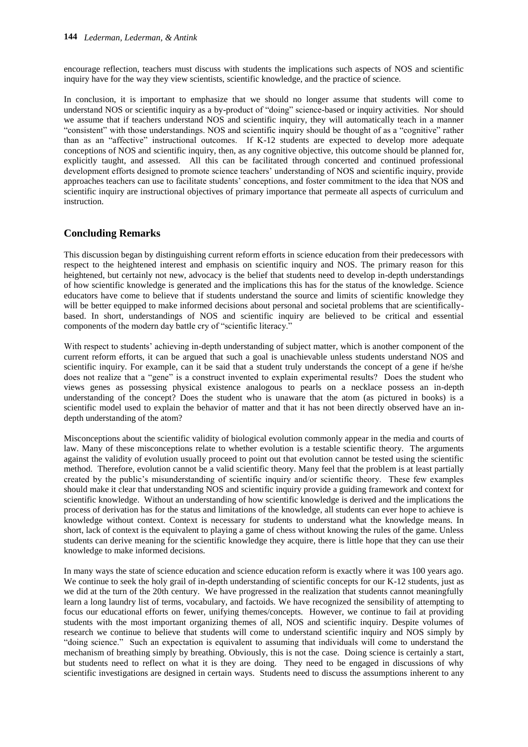encourage reflection, teachers must discuss with students the implications such aspects of NOS and scientific inquiry have for the way they view scientists, scientific knowledge, and the practice of science.

In conclusion, it is important to emphasize that we should no longer assume that students will come to understand NOS or scientific inquiry as a by-product of "doing" science-based or inquiry activities. Nor should we assume that if teachers understand NOS and scientific inquiry, they will automatically teach in a manner "consistent" with those understandings. NOS and scientific inquiry should be thought of as a "cognitive" rather than as an "affective" instructional outcomes. If K-12 students are expected to develop more adequate conceptions of NOS and scientific inquiry, then, as any cognitive objective, this outcome should be planned for, explicitly taught, and assessed. All this can be facilitated through concerted and continued professional development efforts designed to promote science teachers' understanding of NOS and scientific inquiry, provide approaches teachers can use to facilitate students' conceptions, and foster commitment to the idea that NOS and scientific inquiry are instructional objectives of primary importance that permeate all aspects of curriculum and instruction.

### **Concluding Remarks**

This discussion began by distinguishing current reform efforts in science education from their predecessors with respect to the heightened interest and emphasis on scientific inquiry and NOS. The primary reason for this heightened, but certainly not new, advocacy is the belief that students need to develop in-depth understandings of how scientific knowledge is generated and the implications this has for the status of the knowledge. Science educators have come to believe that if students understand the source and limits of scientific knowledge they will be better equipped to make informed decisions about personal and societal problems that are scientificallybased. In short, understandings of NOS and scientific inquiry are believed to be critical and essential components of the modern day battle cry of "scientific literacy."

With respect to students' achieving in-depth understanding of subject matter, which is another component of the current reform efforts, it can be argued that such a goal is unachievable unless students understand NOS and scientific inquiry. For example, can it be said that a student truly understands the concept of a gene if he/she does not realize that a "gene" is a construct invented to explain experimental results? Does the student who views genes as possessing physical existence analogous to pearls on a necklace possess an in-depth understanding of the concept? Does the student who is unaware that the atom (as pictured in books) is a scientific model used to explain the behavior of matter and that it has not been directly observed have an indepth understanding of the atom?

Misconceptions about the scientific validity of biological evolution commonly appear in the media and courts of law. Many of these misconceptions relate to whether evolution is a testable scientific theory. The arguments against the validity of evolution usually proceed to point out that evolution cannot be tested using the scientific method. Therefore, evolution cannot be a valid scientific theory. Many feel that the problem is at least partially created by the public's misunderstanding of scientific inquiry and/or scientific theory. These few examples should make it clear that understanding NOS and scientific inquiry provide a guiding framework and context for scientific knowledge. Without an understanding of how scientific knowledge is derived and the implications the process of derivation has for the status and limitations of the knowledge, all students can ever hope to achieve is knowledge without context. Context is necessary for students to understand what the knowledge means. In short, lack of context is the equivalent to playing a game of chess without knowing the rules of the game. Unless students can derive meaning for the scientific knowledge they acquire, there is little hope that they can use their knowledge to make informed decisions.

In many ways the state of science education and science education reform is exactly where it was 100 years ago. We continue to seek the holy grail of in-depth understanding of scientific concepts for our K-12 students, just as we did at the turn of the 20th century. We have progressed in the realization that students cannot meaningfully learn a long laundry list of terms, vocabulary, and factoids. We have recognized the sensibility of attempting to focus our educational efforts on fewer, unifying themes/concepts. However, we continue to fail at providing students with the most important organizing themes of all, NOS and scientific inquiry. Despite volumes of research we continue to believe that students will come to understand scientific inquiry and NOS simply by "doing science." Such an expectation is equivalent to assuming that individuals will come to understand the mechanism of breathing simply by breathing. Obviously, this is not the case. Doing science is certainly a start, but students need to reflect on what it is they are doing. They need to be engaged in discussions of why scientific investigations are designed in certain ways. Students need to discuss the assumptions inherent to any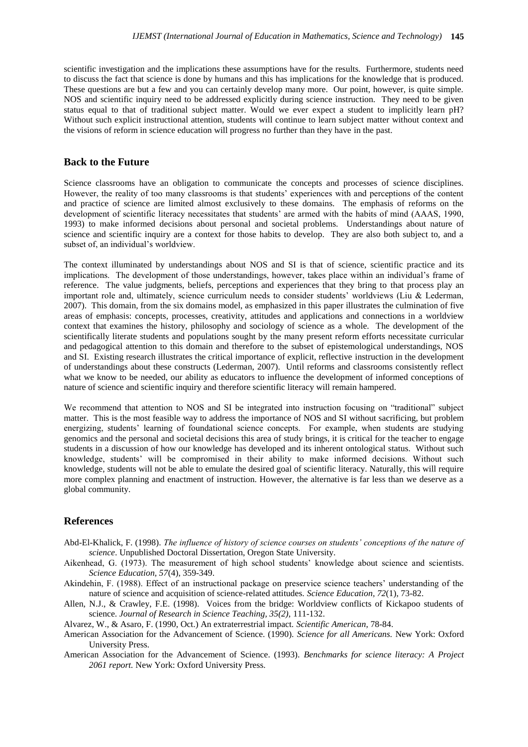scientific investigation and the implications these assumptions have for the results. Furthermore, students need to discuss the fact that science is done by humans and this has implications for the knowledge that is produced. These questions are but a few and you can certainly develop many more. Our point, however, is quite simple. NOS and scientific inquiry need to be addressed explicitly during science instruction. They need to be given status equal to that of traditional subject matter. Would we ever expect a student to implicitly learn pH? Without such explicit instructional attention, students will continue to learn subject matter without context and the visions of reform in science education will progress no further than they have in the past.

### **Back to the Future**

Science classrooms have an obligation to communicate the concepts and processes of science disciplines. However, the reality of too many classrooms is that students' experiences with and perceptions of the content and practice of science are limited almost exclusively to these domains. The emphasis of reforms on the development of scientific literacy necessitates that students' are armed with the habits of mind (AAAS, 1990, 1993) to make informed decisions about personal and societal problems. Understandings about nature of science and scientific inquiry are a context for those habits to develop. They are also both subject to, and a subset of, an individual's worldview.

The context illuminated by understandings about NOS and SI is that of science, scientific practice and its implications. The development of those understandings, however, takes place within an individual's frame of reference. The value judgments, beliefs, perceptions and experiences that they bring to that process play an important role and, ultimately, science curriculum needs to consider students' worldviews (Liu & Lederman, 2007). This domain, from the six domains model, as emphasized in this paper illustrates the culmination of five areas of emphasis: concepts, processes, creativity, attitudes and applications and connections in a worldview context that examines the history, philosophy and sociology of science as a whole. The development of the scientifically literate students and populations sought by the many present reform efforts necessitate curricular and pedagogical attention to this domain and therefore to the subset of epistemological understandings, NOS and SI. Existing research illustrates the critical importance of explicit, reflective instruction in the development of understandings about these constructs (Lederman, 2007). Until reforms and classrooms consistently reflect what we know to be needed, our ability as educators to influence the development of informed conceptions of nature of science and scientific inquiry and therefore scientific literacy will remain hampered.

We recommend that attention to NOS and SI be integrated into instruction focusing on "traditional" subject matter. This is the most feasible way to address the importance of NOS and SI without sacrificing, but problem energizing, students' learning of foundational science concepts. For example, when students are studying genomics and the personal and societal decisions this area of study brings, it is critical for the teacher to engage students in a discussion of how our knowledge has developed and its inherent ontological status. Without such knowledge, students' will be compromised in their ability to make informed decisions. Without such knowledge, students will not be able to emulate the desired goal of scientific literacy. Naturally, this will require more complex planning and enactment of instruction. However, the alternative is far less than we deserve as a global community.

### **References**

- Abd-El-Khalick, F. (1998). *The influence of history of science courses on students' conceptions of the nature of science*. Unpublished Doctoral Dissertation, Oregon State University.
- Aikenhead, G. (1973). The measurement of high school students' knowledge about science and scientists. *Science Education, 57*(4), 359-349.
- Akindehin, F. (1988). Effect of an instructional package on preservice science teachers' understanding of the nature of science and acquisition of science-related attitudes. *Science Education, 72*(1), 73-82.
- Allen, N.J., & Crawley, F.E. (1998). Voices from the bridge: Worldview conflicts of Kickapoo students of science. *Journal of Research in Science Teaching, 35(2),* 111-132.
- Alvarez, W., & Asaro, F. (1990, Oct.) An extraterrestrial impact. *Scientific American*, 78-84.
- American Association for the Advancement of Science. (1990). *Science for all Americans.* New York: Oxford University Press.
- American Association for the Advancement of Science. (1993). *Benchmarks for science literacy: A Project 2061 report.* New York: Oxford University Press.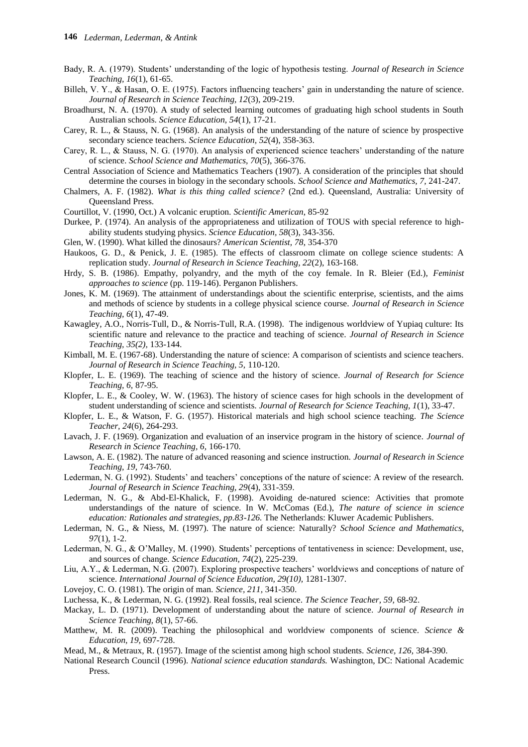- Bady, R. A. (1979). Students' understanding of the logic of hypothesis testing. *Journal of Research in Science Teaching, 16*(1), 61-65.
- Billeh, V. Y., & Hasan, O. E. (1975). Factors influencing teachers' gain in understanding the nature of science. *Journal of Research in Science Teaching, 12*(3), 209-219.
- Broadhurst, N. A. (1970). A study of selected learning outcomes of graduating high school students in South Australian schools. *Science Education, 54*(1), 17-21.
- Carey, R. L., & Stauss, N. G. (1968). An analysis of the understanding of the nature of science by prospective secondary science teachers. *Science Education, 52*(4), 358-363.
- Carey, R. L., & Stauss, N. G. (1970). An analysis of experienced science teachers' understanding of the nature of science. *School Science and Mathematics, 70*(5), 366-376.
- Central Association of Science and Mathematics Teachers (1907). A consideration of the principles that should determine the courses in biology in the secondary schools. *School Science and Mathematics, 7,* 241-247.
- Chalmers, A. F. (1982). *What is this thing called science?* (2nd ed.). Queensland, Australia: University of Queensland Press.
- Courtillot, V. (1990, Oct.) A volcanic eruption. *Scientific American*, 85-92
- Durkee, P. (1974). An analysis of the appropriateness and utilization of TOUS with special reference to highability students studying physics. *Science Education, 58*(3), 343-356.
- Glen, W. (1990). What killed the dinosaurs? *American Scientist, 78*, 354-370
- Haukoos, G. D., & Penick, J. E. (1985). The effects of classroom climate on college science students: A replication study. *Journal of Research in Science Teaching, 22*(2), 163-168.
- Hrdy, S. B. (1986). Empathy, polyandry, and the myth of the coy female. In R. Bleier (Ed.), *Feminist approaches to science* (pp. 119-146). Perganon Publishers.
- Jones, K. M. (1969). The attainment of understandings about the scientific enterprise, scientists, and the aims and methods of science by students in a college physical science course. *Journal of Research in Science Teaching, 6*(1), 47-49.
- Kawagley, A.O., Norris-Tull, D., & Norris-Tull, R.A. (1998). The indigenous worldview of Yupiaq culture: Its scientific nature and relevance to the practice and teaching of science. *Journal of Research in Science Teaching, 35(2),* 133-144.
- Kimball, M. E. (1967-68). Understanding the nature of science: A comparison of scientists and science teachers. *Journal of Research in Science Teaching, 5,* 110-120.
- Klopfer, L. E. (1969). The teaching of science and the history of science. *Journal of Research for Science Teaching, 6,* 87-95.
- Klopfer, L. E., & Cooley, W. W. (1963). The history of science cases for high schools in the development of student understanding of science and scientists. *Journal of Research for Science Teaching, 1*(1), 33-47.
- Klopfer, L. E., & Watson, F. G. (1957). Historical materials and high school science teaching. *The Science Teacher, 24*(6), 264-293.
- Lavach, J. F. (1969). Organization and evaluation of an inservice program in the history of science. *Journal of Research in Science Teaching, 6,* 166-170.
- Lawson, A. E. (1982). The nature of advanced reasoning and science instruction. *Journal of Research in Science Teaching, 19,* 743-760.
- Lederman, N. G. (1992). Students' and teachers' conceptions of the nature of science: A review of the research. *Journal of Research in Science Teaching, 29*(4), 331-359.
- Lederman, N. G., & Abd-El-Khalick, F. (1998). Avoiding de-natured science: Activities that promote understandings of the nature of science. In W. McComas (Ed.), *The nature of science in science education: Rationales and strategies, pp.83-126.* The Netherlands: Kluwer Academic Publishers.
- Lederman, N. G., & Niess, M. (1997). The nature of science: Naturally? *School Science and Mathematics, 97*(1), 1-2.
- Lederman, N. G., & O'Malley, M. (1990). Students' perceptions of tentativeness in science: Development, use, and sources of change. *Science Education, 74*(2), 225-239.
- Liu, A.Y., & Lederman, N.G. (2007). Exploring prospective teachers' worldviews and conceptions of nature of science. *International Journal of Science Education, 29(10),* 1281-1307.
- Lovejoy, C. O. (1981). The origin of man. *Science, 211,* 341-350.
- Luchessa, K., & Lederman, N. G. (1992). Real fossils, real science. *The Science Teacher, 59,* 68-92.
- Mackay, L. D. (1971). Development of understanding about the nature of science. *Journal of Research in Science Teaching, 8*(1), 57-66.
- Matthew, M. R. (2009). Teaching the philosophical and worldview components of science. *Science & Education, 19,* 697-728.
- Mead, M., & Metraux, R. (1957). Image of the scientist among high school students. *Science, 126,* 384-390.
- National Research Council (1996). *National science education standards.* Washington, DC: National Academic Press.